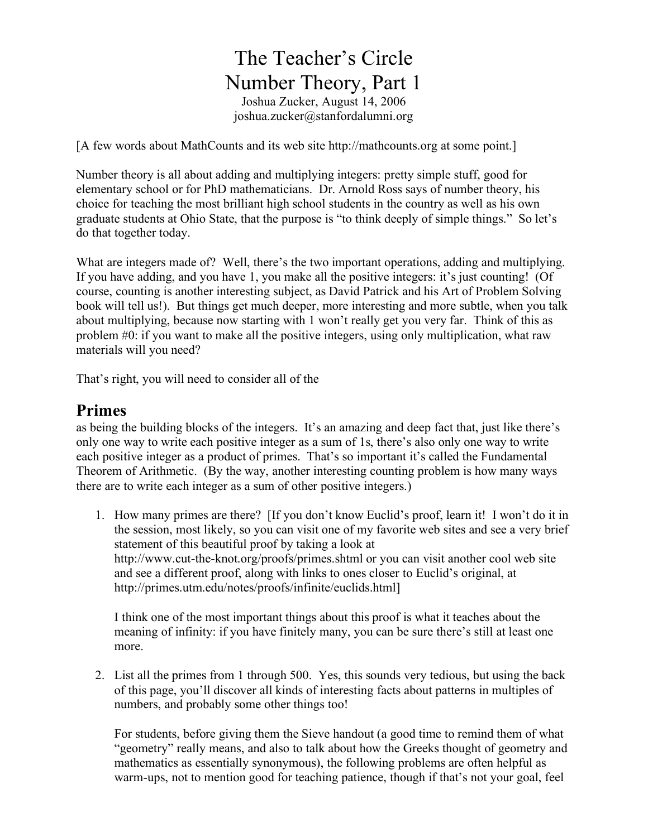# The Teacher's Circle Number Theory, Part 1 Joshua Zucker, August 14, 2006 joshua.zucker@stanfordalumni.org

[A few words about MathCounts and its web site http://mathcounts.org at some point.]

Number theory is all about adding and multiplying integers: pretty simple stuff, good for elementary school or for PhD mathematicians. Dr. Arnold Ross says of number theory, his choice for teaching the most brilliant high school students in the country as well as his own graduate students at Ohio State, that the purpose is "to think deeply of simple things." So let's do that together today.

What are integers made of? Well, there's the two important operations, adding and multiplying. If you have adding, and you have 1, you make all the positive integers: it's just counting! (Of course, counting is another interesting subject, as David Patrick and his Art of Problem Solving book will tell us!). But things get much deeper, more interesting and more subtle, when you talk about multiplying, because now starting with 1 won't really get you very far. Think of this as problem #0: if you want to make all the positive integers, using only multiplication, what raw materials will you need?

That's right, you will need to consider all of the

### **Primes**

as being the building blocks of the integers. It's an amazing and deep fact that, just like there's only one way to write each positive integer as a sum of 1s, there's also only one way to write each positive integer as a product of primes. That's so important it's called the Fundamental Theorem of Arithmetic. (By the way, another interesting counting problem is how many ways there are to write each integer as a sum of other positive integers.)

1. How many primes are there? [If you don't know Euclid's proof, learn it! I won't do it in the session, most likely, so you can visit one of my favorite web sites and see a very brief statement of this beautiful proof by taking a look at http://www.cut-the-knot.org/proofs/primes.shtml or you can visit another cool web site and see a different proof, along with links to ones closer to Euclid's original, at http://primes.utm.edu/notes/proofs/infinite/euclids.html]

I think one of the most important things about this proof is what it teaches about the meaning of infinity: if you have finitely many, you can be sure there's still at least one more.

2. List all the primes from 1 through 500. Yes, this sounds very tedious, but using the back of this page, you'll discover all kinds of interesting facts about patterns in multiples of numbers, and probably some other things too!

For students, before giving them the Sieve handout (a good time to remind them of what "geometry" really means, and also to talk about how the Greeks thought of geometry and mathematics as essentially synonymous), the following problems are often helpful as warm-ups, not to mention good for teaching patience, though if that's not your goal, feel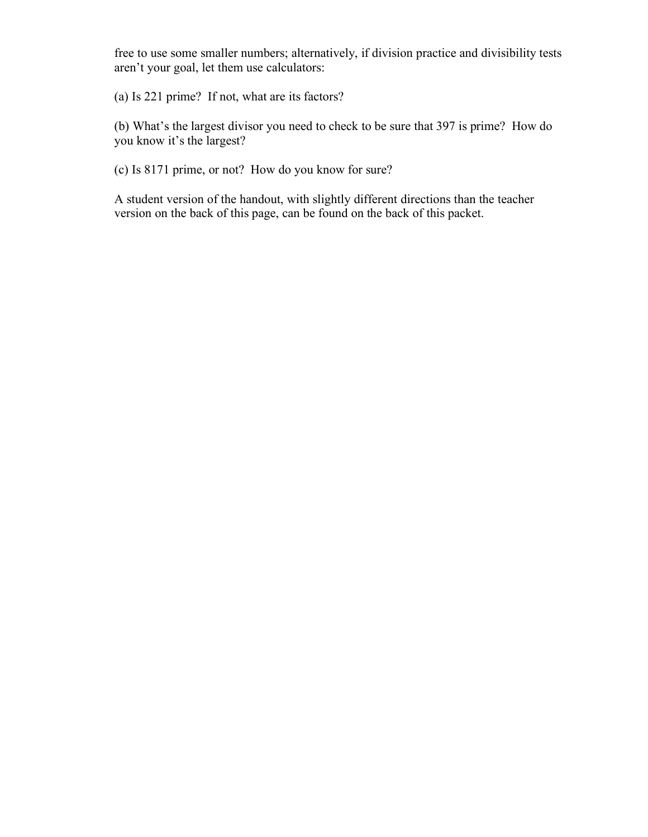free to use some smaller numbers; alternatively, if division practice and divisibility tests aren't your goal, let them use calculators:

(a) Is 221 prime? If not, what are its factors?

(b) What's the largest divisor you need to check to be sure that 397 is prime? How do you know it's the largest?

(c) Is 8171 prime, or not? How do you know for sure?

A student version of the handout, with slightly different directions than the teacher version on the back of this page, can be found on the back of this packet.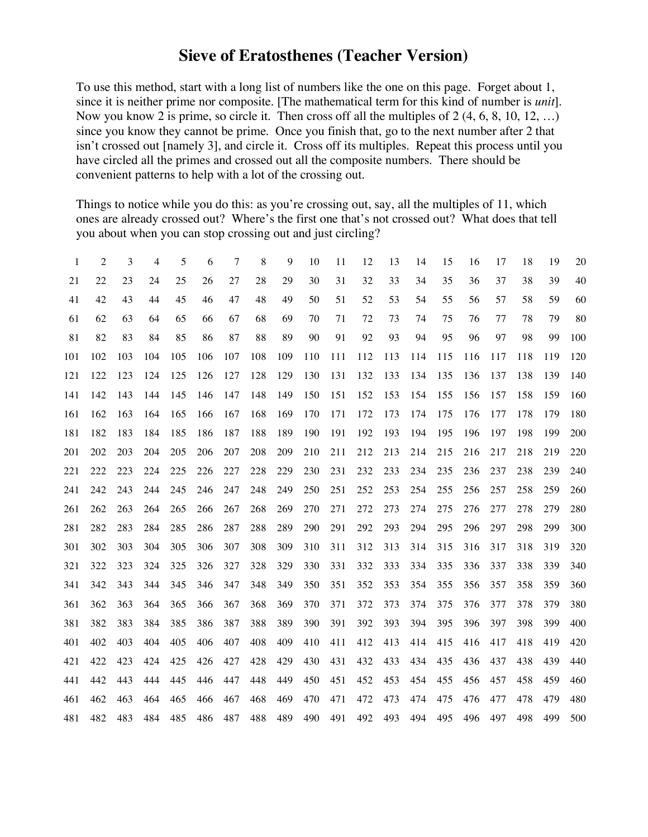## **Sieve of Eratosthenes (Teacher Version)**

To use this method, start with a long list of numbers like the one on this page. Forget about 1, since it is neither prime nor composite. [The mathematical term for this kind of number is *unit*]. Now you know 2 is prime, so circle it. Then cross off all the multiples of 2 (4, 6, 8, 10, 12, …) since you know they cannot be prime. Once you finish that, go to the next number after 2 that isn't crossed out [namely 3], and circle it. Cross off its multiples. Repeat this process until you have circled all the primes and crossed out all the composite numbers. There should be convenient patterns to help with a lot of the crossing out.

Things to notice while you do this: as you're crossing out, say, all the multiples of 11, which ones are already crossed out? Where's the first one that's not crossed out? What does that tell you about when you can stop crossing out and just circling?

| 1   | 2   | 3   | 4   | 5   | 6   | 7   | 8   | 9   | 10  | 11  | 12  | 13  | 14  | 15  | 16  | 17  | 18  | 19  | 20  |
|-----|-----|-----|-----|-----|-----|-----|-----|-----|-----|-----|-----|-----|-----|-----|-----|-----|-----|-----|-----|
| 21  | 22  | 23  | 24  | 25  | 26  | 27  | 28  | 29  | 30  | 31  | 32  | 33  | 34  | 35  | 36  | 37  | 38  | 39  | 40  |
| 41  | 42  | 43  | 44  | 45  | 46  | 47  | 48  | 49  | 50  | 51  | 52  | 53  | 54  | 55  | 56  | 57  | 58  | 59  | 60  |
| 61  | 62  | 63  | 64  | 65  | 66  | 67  | 68  | 69  | 70  | 71  | 72  | 73  | 74  | 75  | 76  | 77  | 78  | 79  | 80  |
| 81  | 82  | 83  | 84  | 85  | 86  | 87  | 88  | 89  | 90  | 91  | 92  | 93  | 94  | 95  | 96  | 97  | 98  | 99  | 100 |
| 101 | 102 | 103 | 104 | 105 | 106 | 107 | 108 | 109 | 110 | 111 | 112 | 113 | 114 | 115 | 116 | 117 | 118 | 119 | 120 |
| 121 | 122 | 123 | 124 | 125 | 126 | 127 | 128 | 129 | 130 | 131 | 132 | 133 | 134 | 135 | 136 | 137 | 138 | 139 | 140 |
| 141 | 142 | 143 | 144 | 145 | 146 | 147 | 148 | 149 | 150 | 151 | 152 | 153 | 154 | 155 | 156 | 157 | 158 | 159 | 160 |
| 161 | 162 | 163 | 164 | 165 | 166 | 167 | 168 | 169 | 170 | 171 | 172 | 173 | 174 | 175 | 176 | 177 | 178 | 179 | 180 |
| 181 | 182 | 183 | 184 | 185 | 186 | 187 | 188 | 189 | 190 | 191 | 192 | 193 | 194 | 195 | 196 | 197 | 198 | 199 | 200 |
| 201 | 202 | 203 | 204 | 205 | 206 | 207 | 208 | 209 | 210 | 211 | 212 | 213 | 214 | 215 | 216 | 217 | 218 | 219 | 220 |
| 221 | 222 | 223 | 224 | 225 | 226 | 227 | 228 | 229 | 230 | 231 | 232 | 233 | 234 | 235 | 236 | 237 | 238 | 239 | 240 |
| 241 | 242 | 243 | 244 | 245 | 246 | 247 | 248 | 249 | 250 | 251 | 252 | 253 | 254 | 255 | 256 | 257 | 258 | 259 | 260 |
| 261 | 262 | 263 | 264 | 265 | 266 | 267 | 268 | 269 | 270 | 271 | 272 | 273 | 274 | 275 | 276 | 277 | 278 | 279 | 280 |
| 281 | 282 | 283 | 284 | 285 | 286 | 287 | 288 | 289 | 290 | 291 | 292 | 293 | 294 | 295 | 296 | 297 | 298 | 299 | 300 |
| 301 | 302 | 303 | 304 | 305 | 306 | 307 | 308 | 309 | 310 | 311 | 312 | 313 | 314 | 315 | 316 | 317 | 318 | 319 | 320 |
| 321 | 322 | 323 | 324 | 325 | 326 | 327 | 328 | 329 | 330 | 331 | 332 | 333 | 334 | 335 | 336 | 337 | 338 | 339 | 340 |
| 341 | 342 | 343 | 344 | 345 | 346 | 347 | 348 | 349 | 350 | 351 | 352 | 353 | 354 | 355 | 356 | 357 | 358 | 359 | 360 |
| 361 | 362 | 363 | 364 | 365 | 366 | 367 | 368 | 369 | 370 | 371 | 372 | 373 | 374 | 375 | 376 | 377 | 378 | 379 | 380 |
| 381 | 382 | 383 | 384 | 385 | 386 | 387 | 388 | 389 | 390 | 391 | 392 | 393 | 394 | 395 | 396 | 397 | 398 | 399 | 400 |
| 401 | 402 | 403 | 404 | 405 | 406 | 407 | 408 | 409 | 410 | 411 | 412 | 413 | 414 | 415 | 416 | 417 | 418 | 419 | 420 |
| 421 | 422 | 423 | 424 | 425 | 426 | 427 | 428 | 429 | 430 | 431 | 432 | 433 | 434 | 435 | 436 | 437 | 438 | 439 | 440 |
| 441 | 442 | 443 | 444 | 445 | 446 | 447 | 448 | 449 | 450 | 451 | 452 | 453 | 454 | 455 | 456 | 457 | 458 | 459 | 460 |
| 461 | 462 | 463 | 464 | 465 | 466 | 467 | 468 | 469 | 470 | 471 | 472 | 473 | 474 | 475 | 476 | 477 | 478 | 479 | 480 |
| 481 | 482 | 483 | 484 | 485 | 486 | 487 | 488 | 489 | 490 | 491 | 492 | 493 | 494 | 495 | 496 | 497 | 498 | 499 | 500 |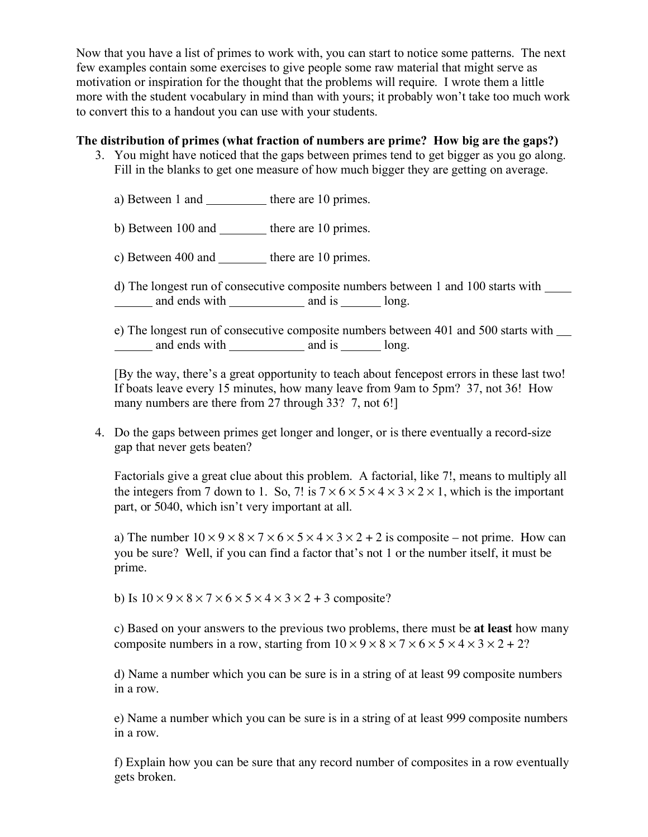Now that you have a list of primes to work with, you can start to notice some patterns. The next few examples contain some exercises to give people some raw material that might serve as motivation or inspiration for the thought that the problems will require. I wrote them a little more with the student vocabulary in mind than with yours; it probably won't take too much work to convert this to a handout you can use with your students.

#### **The distribution of primes (what fraction of numbers are prime? How big are the gaps?)**

- 3. You might have noticed that the gaps between primes tend to get bigger as you go along. Fill in the blanks to get one measure of how much bigger they are getting on average.
	- a) Between 1 and there are 10 primes.
	- b) Between  $100$  and  $\qquad$  there are 10 primes.
	- c) Between 400 and there are 10 primes.

d) The longest run of consecutive composite numbers between 1 and 100 starts with and ends with and is long.

e) The longest run of consecutive composite numbers between 401 and 500 starts with and ends with and is and is long.

[By the way, there's a great opportunity to teach about fencepost errors in these last two! If boats leave every 15 minutes, how many leave from 9am to 5pm? 37, not 36! How many numbers are there from 27 through 33? 7, not 6!

4. Do the gaps between primes get longer and longer, or is there eventually a record-size gap that never gets beaten?

Factorials give a great clue about this problem. A factorial, like 7!, means to multiply all the integers from 7 down to 1. So, 7! is  $7 \times 6 \times 5 \times 4 \times 3 \times 2 \times 1$ , which is the important part, or 5040, which isn't very important at all.

a) The number  $10 \times 9 \times 8 \times 7 \times 6 \times 5 \times 4 \times 3 \times 2 + 2$  is composite – not prime. How can you be sure? Well, if you can find a factor that's not 1 or the number itself, it must be prime.

b) Is  $10 \times 9 \times 8 \times 7 \times 6 \times 5 \times 4 \times 3 \times 2 + 3$  composite?

c) Based on your answers to the previous two problems, there must be **at least** how many composite numbers in a row, starting from  $10 \times 9 \times 8 \times 7 \times 6 \times 5 \times 4 \times 3 \times 2 + 2$ ?

d) Name a number which you can be sure is in a string of at least 99 composite numbers in a row.

e) Name a number which you can be sure is in a string of at least 999 composite numbers in a row.

f) Explain how you can be sure that any record number of composites in a row eventually gets broken.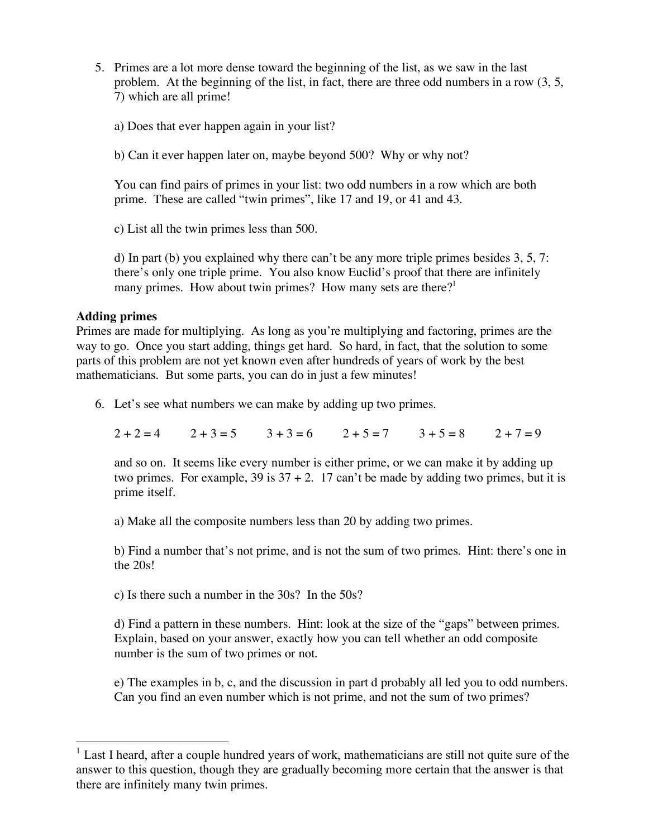- 5. Primes are a lot more dense toward the beginning of the list, as we saw in the last problem. At the beginning of the list, in fact, there are three odd numbers in a row (3, 5, 7) which are all prime!
	- a) Does that ever happen again in your list?
	- b) Can it ever happen later on, maybe beyond 500? Why or why not?

You can find pairs of primes in your list: two odd numbers in a row which are both prime. These are called "twin primes", like 17 and 19, or 41 and 43.

c) List all the twin primes less than 500.

d) In part (b) you explained why there can't be any more triple primes besides 3, 5, 7: there's only one triple prime. You also know Euclid's proof that there are infinitely many primes. How about twin primes? How many sets are there?<sup>1</sup>

#### **Adding primes**

Primes are made for multiplying. As long as you're multiplying and factoring, primes are the way to go. Once you start adding, things get hard. So hard, in fact, that the solution to some parts of this problem are not yet known even after hundreds of years of work by the best mathematicians. But some parts, you can do in just a few minutes!

6. Let's see what numbers we can make by adding up two primes.

 $2 + 2 = 4$   $2 + 3 = 5$   $3 + 3 = 6$   $2 + 5 = 7$   $3 + 5 = 8$   $2 + 7 = 9$ 

and so on. It seems like every number is either prime, or we can make it by adding up two primes. For example, 39 is  $37 + 2$ . 17 can't be made by adding two primes, but it is prime itself.

a) Make all the composite numbers less than 20 by adding two primes.

b) Find a number that's not prime, and is not the sum of two primes. Hint: there's one in the 20s!

c) Is there such a number in the 30s? In the 50s?

d) Find a pattern in these numbers. Hint: look at the size of the "gaps" between primes. Explain, based on your answer, exactly how you can tell whether an odd composite number is the sum of two primes or not.

e) The examples in b, c, and the discussion in part d probably all led you to odd numbers. Can you find an even number which is not prime, and not the sum of two primes?

<sup>&</sup>lt;sup>1</sup> Last I heard, after a couple hundred years of work, mathematicians are still not quite sure of the answer to this question, though they are gradually becoming more certain that the answer is that there are infinitely many twin primes.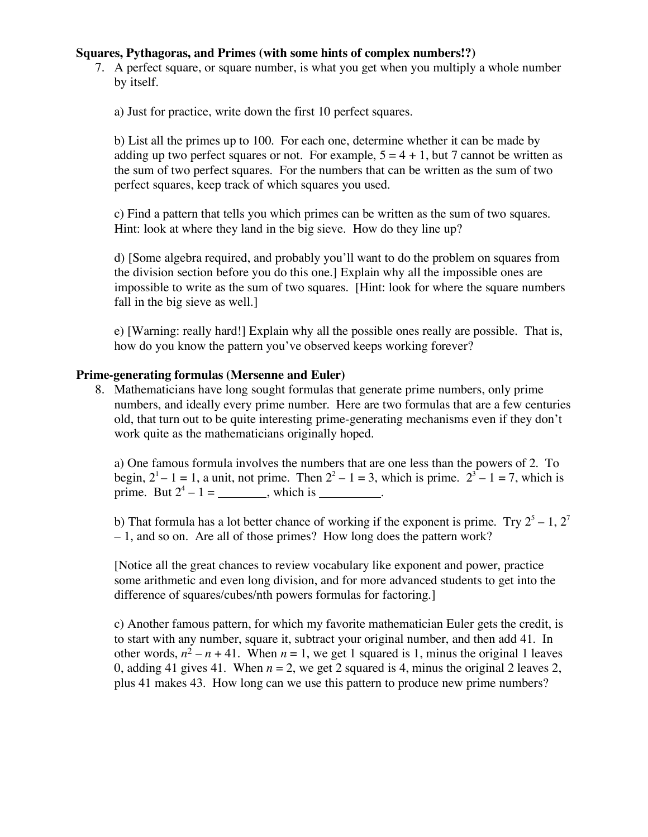#### **Squares, Pythagoras, and Primes (with some hints of complex numbers!?)**

7. A perfect square, or square number, is what you get when you multiply a whole number by itself.

a) Just for practice, write down the first 10 perfect squares.

b) List all the primes up to 100. For each one, determine whether it can be made by adding up two perfect squares or not. For example,  $5 = 4 + 1$ , but 7 cannot be written as the sum of two perfect squares. For the numbers that can be written as the sum of two perfect squares, keep track of which squares you used.

c) Find a pattern that tells you which primes can be written as the sum of two squares. Hint: look at where they land in the big sieve. How do they line up?

d) [Some algebra required, and probably you'll want to do the problem on squares from the division section before you do this one.] Explain why all the impossible ones are impossible to write as the sum of two squares. [Hint: look for where the square numbers fall in the big sieve as well.]

e) [Warning: really hard!] Explain why all the possible ones really are possible. That is, how do you know the pattern you've observed keeps working forever?

#### **Prime-generating formulas (Mersenne and Euler)**

8. Mathematicians have long sought formulas that generate prime numbers, only prime numbers, and ideally every prime number. Here are two formulas that are a few centuries old, that turn out to be quite interesting prime-generating mechanisms even if they don't work quite as the mathematicians originally hoped.

a) One famous formula involves the numbers that are one less than the powers of 2. To begin,  $2^1 - 1 = 1$ , a unit, not prime. Then  $2^2 - 1 = 3$ , which is prime.  $2^3 - 1 = 7$ , which is prime. But  $2^4 - 1 =$ , which is ...

b) That formula has a lot better chance of working if the exponent is prime. Try  $2^5 - 1$ ,  $2^7$ – 1, and so on. Are all of those primes? How long does the pattern work?

[Notice all the great chances to review vocabulary like exponent and power, practice some arithmetic and even long division, and for more advanced students to get into the difference of squares/cubes/nth powers formulas for factoring.]

c) Another famous pattern, for which my favorite mathematician Euler gets the credit, is to start with any number, square it, subtract your original number, and then add 41. In other words,  $n^2 - n + 41$ . When  $n = 1$ , we get 1 squared is 1, minus the original 1 leaves 0, adding 41 gives 41. When  $n = 2$ , we get 2 squared is 4, minus the original 2 leaves 2, plus 41 makes 43. How long can we use this pattern to produce new prime numbers?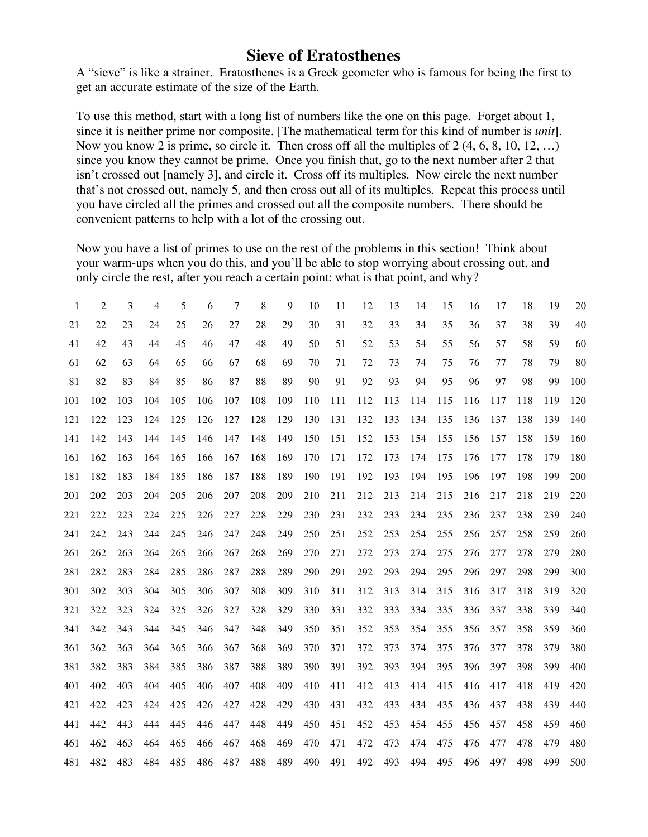## **Sieve of Eratosthenes**

A "sieve" is like a strainer. Eratosthenes is a Greek geometer who is famous for being the first to get an accurate estimate of the size of the Earth.

To use this method, start with a long list of numbers like the one on this page. Forget about 1, since it is neither prime nor composite. [The mathematical term for this kind of number is *unit*]. Now you know 2 is prime, so circle it. Then cross off all the multiples of 2 (4, 6, 8, 10, 12, …) since you know they cannot be prime. Once you finish that, go to the next number after 2 that isn't crossed out [namely 3], and circle it. Cross off its multiples. Now circle the next number that's not crossed out, namely 5, and then cross out all of its multiples. Repeat this process until you have circled all the primes and crossed out all the composite numbers. There should be convenient patterns to help with a lot of the crossing out.

Now you have a list of primes to use on the rest of the problems in this section! Think about your warm-ups when you do this, and you'll be able to stop worrying about crossing out, and only circle the rest, after you reach a certain point: what is that point, and why?

| 1   | $\overline{2}$ | 3   | 4   | 5   | 6   | 7   | 8   | 9   | 10  | 11  | 12  | 13  | 14  | 15  | 16  | 17  | 18  | 19  | 20  |
|-----|----------------|-----|-----|-----|-----|-----|-----|-----|-----|-----|-----|-----|-----|-----|-----|-----|-----|-----|-----|
| 21  | 22             | 23  | 24  | 25  | 26  | 27  | 28  | 29  | 30  | 31  | 32  | 33  | 34  | 35  | 36  | 37  | 38  | 39  | 40  |
| 41  | 42             | 43  | 44  | 45  | 46  | 47  | 48  | 49  | 50  | 51  | 52  | 53  | 54  | 55  | 56  | 57  | 58  | 59  | 60  |
| 61  | 62             | 63  | 64  | 65  | 66  | 67  | 68  | 69  | 70  | 71  | 72  | 73  | 74  | 75  | 76  | 77  | 78  | 79  | 80  |
| 81  | 82             | 83  | 84  | 85  | 86  | 87  | 88  | 89  | 90  | 91  | 92  | 93  | 94  | 95  | 96  | 97  | 98  | 99  | 100 |
| 101 | 102            | 103 | 104 | 105 | 106 | 107 | 108 | 109 | 110 | 111 | 112 | 113 | 114 | 115 | 116 | 117 | 118 | 119 | 120 |
| 121 | 122            | 123 | 124 | 125 | 126 | 127 | 128 | 129 | 130 | 131 | 132 | 133 | 134 | 135 | 136 | 137 | 138 | 139 | 140 |
| 141 | 142            | 143 | 144 | 145 | 146 | 147 | 148 | 149 | 150 | 151 | 152 | 153 | 154 | 155 | 156 | 157 | 158 | 159 | 160 |
| 161 | 162            | 163 | 164 | 165 | 166 | 167 | 168 | 169 | 170 | 171 | 172 | 173 | 174 | 175 | 176 | 177 | 178 | 179 | 180 |
| 181 | 182            | 183 | 184 | 185 | 186 | 187 | 188 | 189 | 190 | 191 | 192 | 193 | 194 | 195 | 196 | 197 | 198 | 199 | 200 |
| 201 | 202            | 203 | 204 | 205 | 206 | 207 | 208 | 209 | 210 | 211 | 212 | 213 | 214 | 215 | 216 | 217 | 218 | 219 | 220 |
| 221 | 222            | 223 | 224 | 225 | 226 | 227 | 228 | 229 | 230 | 231 | 232 | 233 | 234 | 235 | 236 | 237 | 238 | 239 | 240 |
| 241 | 242            | 243 | 244 | 245 | 246 | 247 | 248 | 249 | 250 | 251 | 252 | 253 | 254 | 255 | 256 | 257 | 258 | 259 | 260 |
| 261 | 262            | 263 | 264 | 265 | 266 | 267 | 268 | 269 | 270 | 271 | 272 | 273 | 274 | 275 | 276 | 277 | 278 | 279 | 280 |
| 281 | 282            | 283 | 284 | 285 | 286 | 287 | 288 | 289 | 290 | 291 | 292 | 293 | 294 | 295 | 296 | 297 | 298 | 299 | 300 |
| 301 | 302            | 303 | 304 | 305 | 306 | 307 | 308 | 309 | 310 | 311 | 312 | 313 | 314 | 315 | 316 | 317 | 318 | 319 | 320 |
| 321 | 322            | 323 | 324 | 325 | 326 | 327 | 328 | 329 | 330 | 331 | 332 | 333 | 334 | 335 | 336 | 337 | 338 | 339 | 340 |
| 341 | 342            | 343 | 344 | 345 | 346 | 347 | 348 | 349 | 350 | 351 | 352 | 353 | 354 | 355 | 356 | 357 | 358 | 359 | 360 |
| 361 | 362            | 363 | 364 | 365 | 366 | 367 | 368 | 369 | 370 | 371 | 372 | 373 | 374 | 375 | 376 | 377 | 378 | 379 | 380 |
| 381 | 382            | 383 | 384 | 385 | 386 | 387 | 388 | 389 | 390 | 391 | 392 | 393 | 394 | 395 | 396 | 397 | 398 | 399 | 400 |
| 401 | 402            | 403 | 404 | 405 | 406 | 407 | 408 | 409 | 410 | 411 | 412 | 413 | 414 | 415 | 416 | 417 | 418 | 419 | 420 |
| 421 | 422            | 423 | 424 | 425 | 426 | 427 | 428 | 429 | 430 | 431 | 432 | 433 | 434 | 435 | 436 | 437 | 438 | 439 | 440 |
| 441 | 442            | 443 | 444 | 445 | 446 | 447 | 448 | 449 | 450 | 451 | 452 | 453 | 454 | 455 | 456 | 457 | 458 | 459 | 460 |
| 461 | 462            | 463 | 464 | 465 | 466 | 467 | 468 | 469 | 470 | 471 | 472 | 473 | 474 | 475 | 476 | 477 | 478 | 479 | 480 |
| 481 | 482            | 483 | 484 | 485 | 486 | 487 | 488 | 489 | 490 | 491 | 492 | 493 | 494 | 495 | 496 | 497 | 498 | 499 | 500 |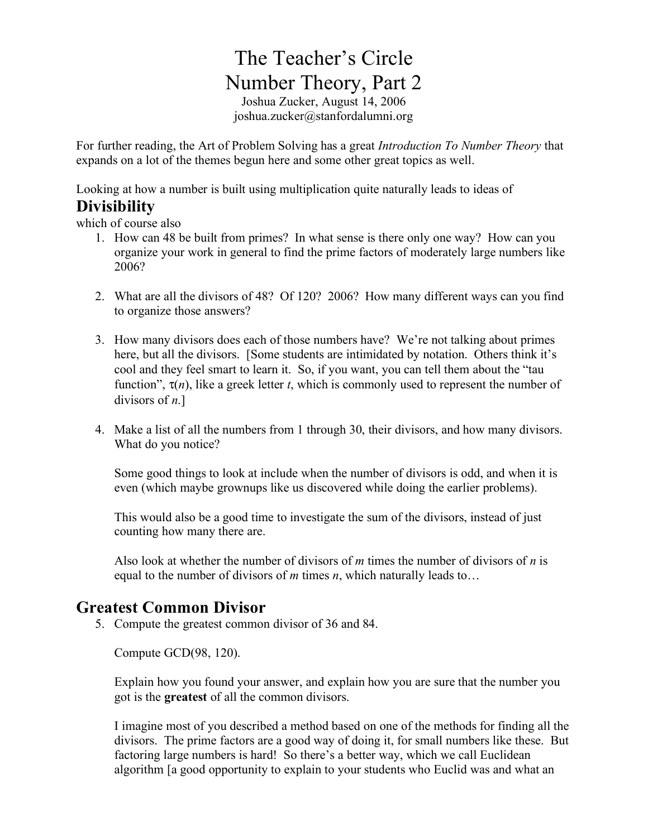# The Teacher's Circle Number Theory, Part 2

Joshua Zucker, August 14, 2006 joshua.zucker@stanfordalumni.org

For further reading, the Art of Problem Solving has a great *Introduction To Number Theory* that expands on a lot of the themes begun here and some other great topics as well.

Looking at how a number is built using multiplication quite naturally leads to ideas of

## **Divisibility**

which of course also

- 1. How can 48 be built from primes? In what sense is there only one way? How can you organize your work in general to find the prime factors of moderately large numbers like 2006?
- 2. What are all the divisors of 48? Of 120? 2006? How many different ways can you find to organize those answers?
- 3. How many divisors does each of those numbers have? We're not talking about primes here, but all the divisors. [Some students are intimidated by notation. Others think it's cool and they feel smart to learn it. So, if you want, you can tell them about the "tau function",  $\tau(n)$ , like a greek letter *t*, which is commonly used to represent the number of divisors of *n*.]
- 4. Make a list of all the numbers from 1 through 30, their divisors, and how many divisors. What do you notice?

Some good things to look at include when the number of divisors is odd, and when it is even (which maybe grownups like us discovered while doing the earlier problems).

This would also be a good time to investigate the sum of the divisors, instead of just counting how many there are.

Also look at whether the number of divisors of *m* times the number of divisors of *n* is equal to the number of divisors of *m* times *n*, which naturally leads to…

## **Greatest Common Divisor**

5. Compute the greatest common divisor of 36 and 84.

Compute GCD(98, 120).

Explain how you found your answer, and explain how you are sure that the number you got is the **greatest** of all the common divisors.

I imagine most of you described a method based on one of the methods for finding all the divisors. The prime factors are a good way of doing it, for small numbers like these. But factoring large numbers is hard! So there's a better way, which we call Euclidean algorithm [a good opportunity to explain to your students who Euclid was and what an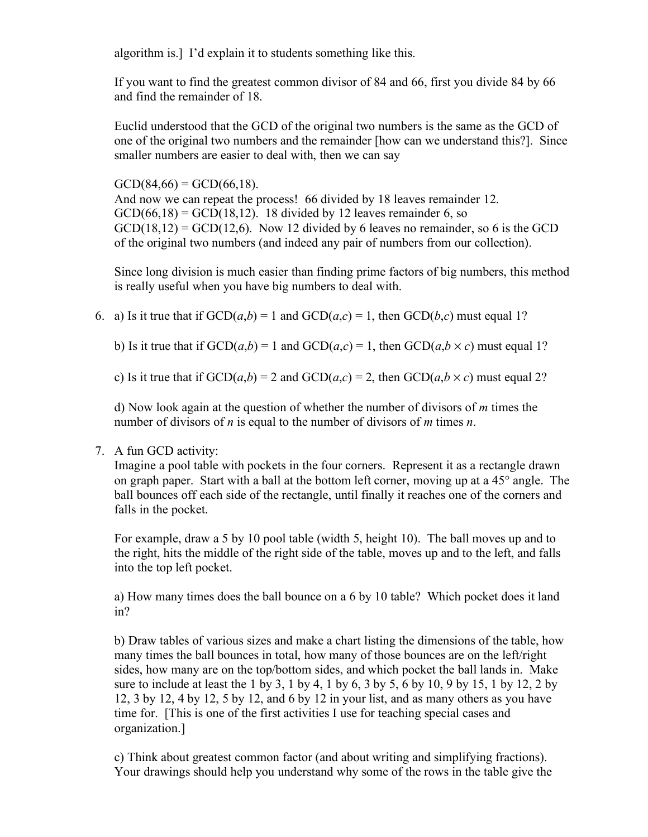algorithm is.] I'd explain it to students something like this.

If you want to find the greatest common divisor of 84 and 66, first you divide 84 by 66 and find the remainder of 18.

Euclid understood that the GCD of the original two numbers is the same as the GCD of one of the original two numbers and the remainder [how can we understand this?]. Since smaller numbers are easier to deal with, then we can say

 $GCD(84,66) = GCD(66,18)$ . And now we can repeat the process! 66 divided by 18 leaves remainder 12.  $GCD(66,18) = GCD(18,12)$ . 18 divided by 12 leaves remainder 6, so  $GCD(18,12) = GCD(12,6)$ . Now 12 divided by 6 leaves no remainder, so 6 is the GCD of the original two numbers (and indeed any pair of numbers from our collection).

Since long division is much easier than finding prime factors of big numbers, this method is really useful when you have big numbers to deal with.

6. a) Is it true that if  $GCD(a,b) = 1$  and  $GCD(a,c) = 1$ , then  $GCD(b,c)$  must equal 1?

b) Is it true that if  $GCD(a,b) = 1$  and  $GCD(a,c) = 1$ , then  $GCD(a,b \times c)$  must equal 1?

c) Is it true that if  $GCD(a,b) = 2$  and  $GCD(a,c) = 2$ , then  $GCD(a,b \times c)$  must equal 2?

d) Now look again at the question of whether the number of divisors of *m* times the number of divisors of *n* is equal to the number of divisors of *m* times *n*.

#### 7. A fun GCD activity:

Imagine a pool table with pockets in the four corners. Represent it as a rectangle drawn on graph paper. Start with a ball at the bottom left corner, moving up at a 45° angle. The ball bounces off each side of the rectangle, until finally it reaches one of the corners and falls in the pocket.

For example, draw a 5 by 10 pool table (width 5, height 10). The ball moves up and to the right, hits the middle of the right side of the table, moves up and to the left, and falls into the top left pocket.

a) How many times does the ball bounce on a 6 by 10 table? Which pocket does it land in?

b) Draw tables of various sizes and make a chart listing the dimensions of the table, how many times the ball bounces in total, how many of those bounces are on the left/right sides, how many are on the top/bottom sides, and which pocket the ball lands in. Make sure to include at least the 1 by 3, 1 by 4, 1 by 6, 3 by 5, 6 by 10, 9 by 15, 1 by 12, 2 by 12, 3 by 12, 4 by 12, 5 by 12, and 6 by 12 in your list, and as many others as you have time for. [This is one of the first activities I use for teaching special cases and organization.]

c) Think about greatest common factor (and about writing and simplifying fractions). Your drawings should help you understand why some of the rows in the table give the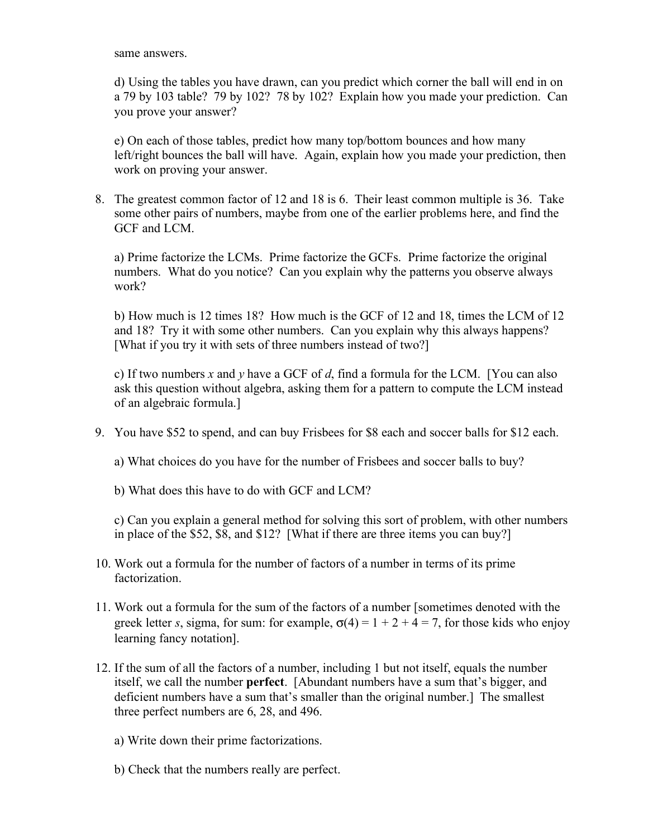same answers.

d) Using the tables you have drawn, can you predict which corner the ball will end in on a 79 by 103 table? 79 by 102? 78 by 102? Explain how you made your prediction. Can you prove your answer?

e) On each of those tables, predict how many top/bottom bounces and how many left/right bounces the ball will have. Again, explain how you made your prediction, then work on proving your answer.

8. The greatest common factor of 12 and 18 is 6. Their least common multiple is 36. Take some other pairs of numbers, maybe from one of the earlier problems here, and find the GCF and LCM.

a) Prime factorize the LCMs. Prime factorize the GCFs. Prime factorize the original numbers. What do you notice? Can you explain why the patterns you observe always work?

b) How much is 12 times 18? How much is the GCF of 12 and 18, times the LCM of 12 and 18? Try it with some other numbers. Can you explain why this always happens? [What if you try it with sets of three numbers instead of two?]

c) If two numbers *x* and *y* have a GCF of *d*, find a formula for the LCM. [You can also ask this question without algebra, asking them for a pattern to compute the LCM instead of an algebraic formula.]

9. You have \$52 to spend, and can buy Frisbees for \$8 each and soccer balls for \$12 each.

a) What choices do you have for the number of Frisbees and soccer balls to buy?

b) What does this have to do with GCF and LCM?

c) Can you explain a general method for solving this sort of problem, with other numbers in place of the \$52, \$8, and \$12? [What if there are three items you can buy?]

- 10. Work out a formula for the number of factors of a number in terms of its prime factorization.
- 11. Work out a formula for the sum of the factors of a number [sometimes denoted with the greek letter *s*, sigma, for sum: for example,  $\sigma(4) = 1 + 2 + 4 = 7$ , for those kids who enjoy learning fancy notation].
- 12. If the sum of all the factors of a number, including 1 but not itself, equals the number itself, we call the number **perfect**. [Abundant numbers have a sum that's bigger, and deficient numbers have a sum that's smaller than the original number.] The smallest three perfect numbers are 6, 28, and 496.
	- a) Write down their prime factorizations.
	- b) Check that the numbers really are perfect.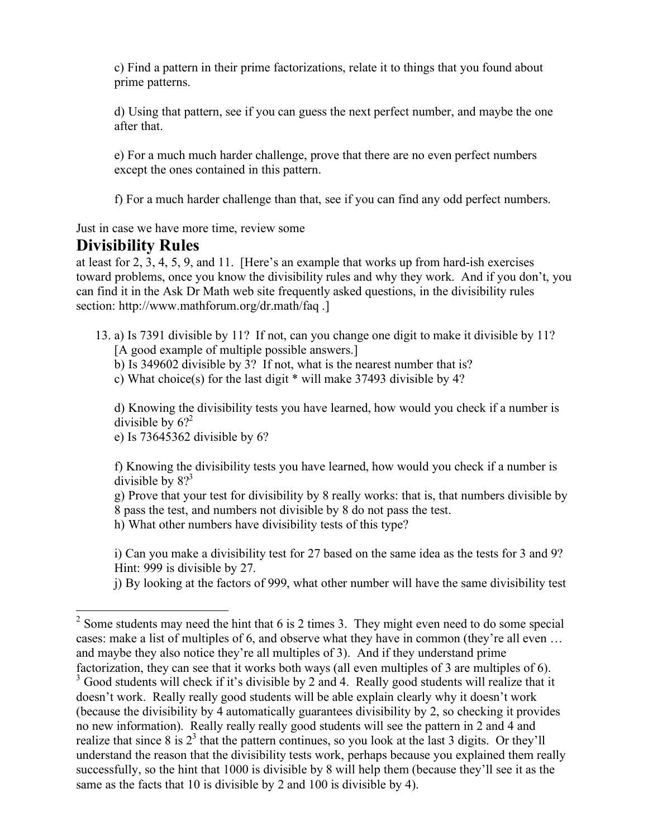c) Find a pattern in their prime factorizations, relate it to things that you found about prime patterns.

d) Using that pattern, see if you can guess the next perfect number, and maybe the one after that.

e) For a much much harder challenge, prove that there are no even perfect numbers except the ones contained in this pattern.

f) For a much harder challenge than that, see if you can find any odd perfect numbers.

Just in case we have more time, review some

## **Divisibility Rules**

at least for 2, 3, 4, 5, 9, and 11. [Here's an example that works up from hard-ish exercises toward problems, once you know the divisibility rules and why they work. And if you don't, you can find it in the Ask Dr Math web site frequently asked questions, in the divisibility rules section: http://www.mathforum.org/dr.math/faq .]

13. a) Is 7391 divisible by 11? If not, can you change one digit to make it divisible by 11? [A good example of multiple possible answers.]

b) Is 349602 divisible by 3? If not, what is the nearest number that is?

c) What choice(s) for the last digit \* will make 37493 divisible by 4?

d) Knowing the divisibility tests you have learned, how would you check if a number is divisible by  $6$ <sup>2</sup>

e) Is 73645362 divisible by 6?

f) Knowing the divisibility tests you have learned, how would you check if a number is divisible by  $8$ ?<sup>3</sup>

g) Prove that your test for divisibility by 8 really works: that is, that numbers divisible by 8 pass the test, and numbers not divisible by 8 do not pass the test.

h) What other numbers have divisibility tests of this type?

i) Can you make a divisibility test for 27 based on the same idea as the tests for 3 and 9? Hint: 999 is divisible by 27.

j) By looking at the factors of 999, what other number will have the same divisibility test

 $2^{\circ}$  Some students may need the hint that 6 is 2 times 3. They might even need to do some special cases: make a list of multiples of 6, and observe what they have in common (they're all even … and maybe they also notice they're all multiples of 3). And if they understand prime factorization, they can see that it works both ways (all even multiples of 3 are multiples of 6).<br><sup>3</sup> Good students will check if it's divisible by 2 and 4. Really good students will realize that it doesn't work. Really really good students will be able explain clearly why it doesn't work (because the divisibility by 4 automatically guarantees divisibility by 2, so checking it provides no new information). Really really really good students will see the pattern in 2 and 4 and realize that since 8 is  $2<sup>3</sup>$  that the pattern continues, so you look at the last 3 digits. Or they'll understand the reason that the divisibility tests work, perhaps because you explained them really successfully, so the hint that 1000 is divisible by 8 will help them (because they'll see it as the same as the facts that 10 is divisible by 2 and 100 is divisible by 4).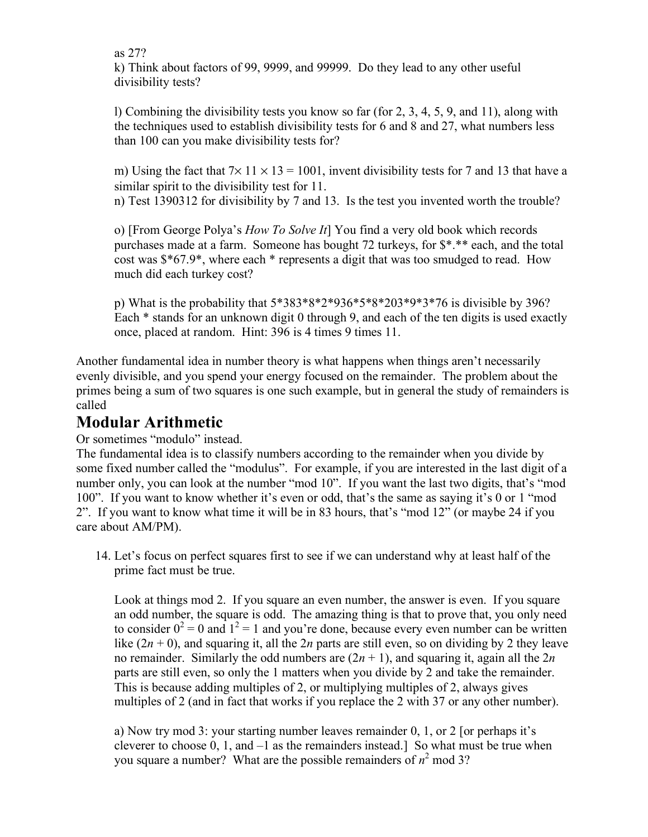as 27?

k) Think about factors of 99, 9999, and 99999. Do they lead to any other useful divisibility tests?

l) Combining the divisibility tests you know so far (for 2, 3, 4, 5, 9, and 11), along with the techniques used to establish divisibility tests for 6 and 8 and 27, what numbers less than 100 can you make divisibility tests for?

m) Using the fact that  $7\times 11 \times 13 = 1001$ , invent divisibility tests for 7 and 13 that have a similar spirit to the divisibility test for 11.

n) Test 1390312 for divisibility by 7 and 13. Is the test you invented worth the trouble?

o) [From George Polya's *How To Solve It*] You find a very old book which records purchases made at a farm. Someone has bought 72 turkeys, for \$\*.\*\* each, and the total cost was \$\*67.9\*, where each \* represents a digit that was too smudged to read. How much did each turkey cost?

p) What is the probability that 5\*383\*8\*2\*936\*5\*8\*203\*9\*3\*76 is divisible by 396? Each \* stands for an unknown digit 0 through 9, and each of the ten digits is used exactly once, placed at random. Hint: 396 is 4 times 9 times 11.

Another fundamental idea in number theory is what happens when things aren't necessarily evenly divisible, and you spend your energy focused on the remainder. The problem about the primes being a sum of two squares is one such example, but in general the study of remainders is called

# **Modular Arithmetic**

Or sometimes "modulo" instead.

The fundamental idea is to classify numbers according to the remainder when you divide by some fixed number called the "modulus". For example, if you are interested in the last digit of a number only, you can look at the number "mod 10". If you want the last two digits, that's "mod 100". If you want to know whether it's even or odd, that's the same as saying it's 0 or 1 "mod 2". If you want to know what time it will be in 83 hours, that's "mod 12" (or maybe 24 if you care about AM/PM).

14. Let's focus on perfect squares first to see if we can understand why at least half of the prime fact must be true.

Look at things mod 2. If you square an even number, the answer is even. If you square an odd number, the square is odd. The amazing thing is that to prove that, you only need to consider  $0^2 = 0$  and  $1^2 = 1$  and you're done, because every even number can be written like  $(2n + 0)$ , and squaring it, all the 2*n* parts are still even, so on dividing by 2 they leave no remainder. Similarly the odd numbers are  $(2n + 1)$ , and squaring it, again all the  $2n$ parts are still even, so only the 1 matters when you divide by 2 and take the remainder. This is because adding multiples of 2, or multiplying multiples of 2, always gives multiples of 2 (and in fact that works if you replace the 2 with 37 or any other number).

a) Now try mod 3: your starting number leaves remainder 0, 1, or 2 [or perhaps it's cleverer to choose 0, 1, and –1 as the remainders instead.] So what must be true when you square a number? What are the possible remainders of  $n^2$  mod 3?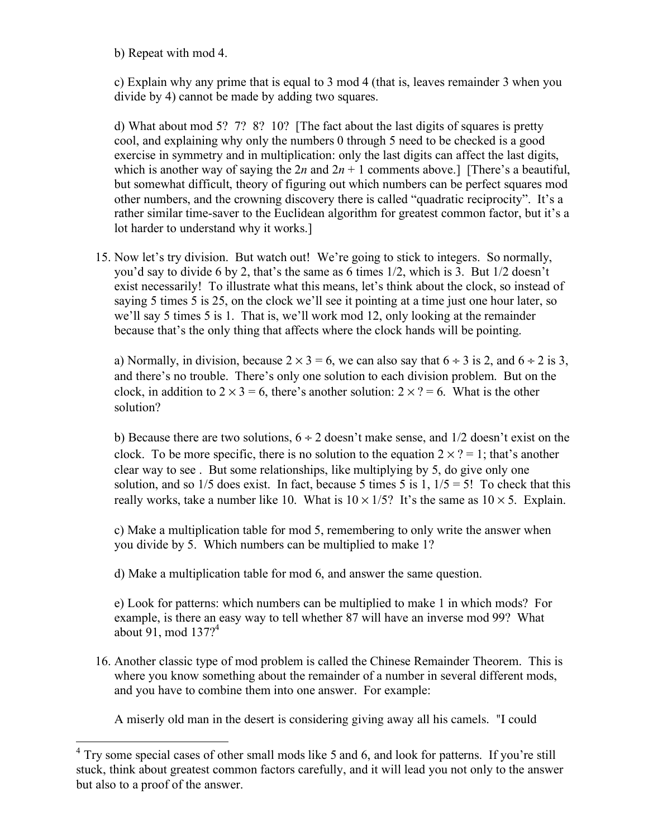b) Repeat with mod 4.

c) Explain why any prime that is equal to 3 mod 4 (that is, leaves remainder 3 when you divide by 4) cannot be made by adding two squares.

d) What about mod 5? 7? 8? 10? [The fact about the last digits of squares is pretty cool, and explaining why only the numbers 0 through 5 need to be checked is a good exercise in symmetry and in multiplication: only the last digits can affect the last digits, which is another way of saying the  $2n$  and  $2n + 1$  comments above.] [There's a beautiful, but somewhat difficult, theory of figuring out which numbers can be perfect squares mod other numbers, and the crowning discovery there is called "quadratic reciprocity". It's a rather similar time-saver to the Euclidean algorithm for greatest common factor, but it's a lot harder to understand why it works.]

15. Now let's try division. But watch out! We're going to stick to integers. So normally, you'd say to divide 6 by 2, that's the same as 6 times 1/2, which is 3. But 1/2 doesn't exist necessarily! To illustrate what this means, let's think about the clock, so instead of saying 5 times 5 is 25, on the clock we'll see it pointing at a time just one hour later, so we'll say 5 times 5 is 1. That is, we'll work mod 12, only looking at the remainder because that's the only thing that affects where the clock hands will be pointing.

a) Normally, in division, because  $2 \times 3 = 6$ , we can also say that  $6 \div 3$  is 2, and  $6 \div 2$  is 3, and there's no trouble. There's only one solution to each division problem. But on the clock, in addition to  $2 \times 3 = 6$ , there's another solution:  $2 \times ? = 6$ . What is the other solution?

b) Because there are two solutions,  $6 \div 2$  doesn't make sense, and  $1/2$  doesn't exist on the clock. To be more specific, there is no solution to the equation  $2 \times ? = 1$ ; that's another clear way to see . But some relationships, like multiplying by 5, do give only one solution, and so  $1/5$  does exist. In fact, because 5 times 5 is 1,  $1/5 = 5!$  To check that this really works, take a number like 10. What is  $10 \times 1/5$ ? It's the same as  $10 \times 5$ . Explain.

c) Make a multiplication table for mod 5, remembering to only write the answer when you divide by 5. Which numbers can be multiplied to make 1?

d) Make a multiplication table for mod 6, and answer the same question.

e) Look for patterns: which numbers can be multiplied to make 1 in which mods? For example, is there an easy way to tell whether 87 will have an inverse mod 99? What about 91, mod  $137?$ <sup>4</sup>

16. Another classic type of mod problem is called the Chinese Remainder Theorem. This is where you know something about the remainder of a number in several different mods, and you have to combine them into one answer. For example:

A miserly old man in the desert is considering giving away all his camels. "I could

 $4$  Try some special cases of other small mods like 5 and 6, and look for patterns. If you're still stuck, think about greatest common factors carefully, and it will lead you not only to the answer but also to a proof of the answer.